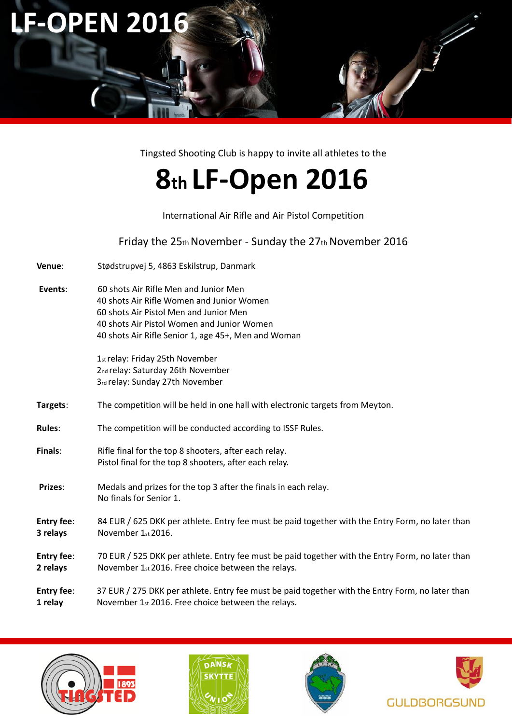

Tingsted Shooting Club is happy to invite all athletes to the

# **8th LF‐Open 2016**

International Air Rifle and Air Pistol Competition

Friday the 25th November ‐ Sunday the 27th November 2016

- **Venue**: Stødstrupvej 5, 4863 Eskilstrup, Danmark
- **Events**: 60 shots Air Rifle Men and Junior Men 40 shots Air Rifle Women and Junior Women 60 shots Air Pistol Men and Junior Men 40 shots Air Pistol Women and Junior Women 40 shots Air Rifle Senior 1, age 45+, Men and Woman

1st relay: Friday 25th November 2nd relay: Saturday 26th November 3rd relay: Sunday 27th November

- **Targets**: The competition will be held in one hall with electronic targets from Meyton.
- **Rules**: The competition will be conducted according to ISSF Rules.
- **Finals:** Rifle final for the top 8 shooters, after each relay. Pistol final for the top 8 shooters, after each relay.
- **Prizes**: Medals and prizes for the top 3 after the finals in each relay. No finals for Senior 1.
- **Entry fee**: 84 EUR / 625 DKK per athlete. Entry fee must be paid together with the Entry Form, no later than **3 relays** November 1st 2016.
- **Entry fee**: 70 EUR / 525 DKK per athlete. Entry fee must be paid together with the Entry Form, no later than **2 relays** November 1st 2016. Free choice between the relays.
- **Entry fee**: 37 EUR / 275 DKK per athlete. Entry fee must be paid together with the Entry Form, no later than **1 relay** November 1st 2016. Free choice between the relays.







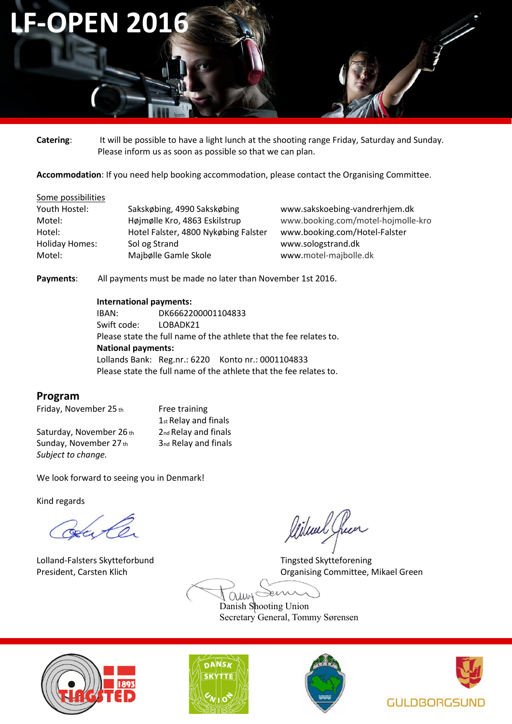# **LF-OPEN 2016**

**Catering**: It will be possible to have a light lunch at the shooting range Friday, Saturday and Sunday. Please inform us as soon as possible so that we can plan.

**Accommodation**: If you need help booking accommodation, please contact the Organising Committee.

#### Some possibilities

| Youth Hostel:         | Sakskøbing, 4990 Sakskøbing          | www.sakskoebing-vandrerhjem.dk     |
|-----------------------|--------------------------------------|------------------------------------|
| Motel:                | Højmølle Kro, 4863 Eskilstrup        | www.booking.com/motel-hojmolle-kro |
| Hotel:                | Hotel Falster, 4800 Nykøbing Falster | www.booking.com/Hotel-Falster      |
| <b>Holiday Homes:</b> | Sol og Strand                        | www.sologstrand.dk                 |
| Motel:                | Majbølle Gamle Skole                 | www.motel-majbolle.dk              |

**Payments**: All payments must be made no later than November 1st 2016.

#### **International payments:**

IBAN: DK6662200001104833 Swift code: LOBADK21 Please state the full name of the athlete that the fee relates to. **National payments:**  Lollands Bank: Reg.nr.: 6220 Konto nr.: 0001104833 Please state the full name of the athlete that the fee relates to.

# **Program**

Friday, November 25 th Free training

Saturday, November 26 th<sub>2nd</sub> Relay and finals Sunday, November  $27<sub>th</sub>$  3nd Relay and finals *Subject to change.* 

1st Relay and finals

We look forward to seeing you in Denmark!

Kind regards

Havle

Lolland-Falsters Skytteforbund Tingsted Skytteforening

leileach free

President, Carsten Klich **Carsten Click Committee, Mikael Green** Committee, Mikael Green

ein  $QUW^2$ 

Danish Shooting Union Secretary General, Tommy Sørensen